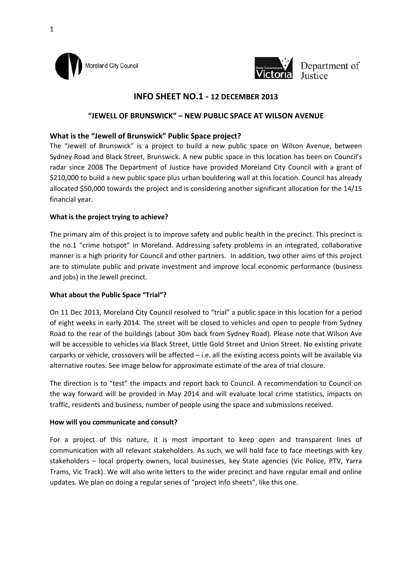



# **INFO SHEET NO.1 ‐ 12 DECEMBER 2013**

# **"JEWELL OF BRUNSWICK" – NEW PUBLIC SPACE AT WILSON AVENUE**

# **What is the "Jewell of Brunswick" Public Space project?**

The "Jewell of Brunswick" is a project to build a new public space on Wilson Avenue, between Sydney Road and Black Street, Brunswick. A new public space in this location has been on Council's radar since 2008 The Department of Justice have provided Moreland City Council with a grant of \$210,000 to build a new public space plus urban bouldering wall at this location. Council has already allocated \$50,000 towards the project and is considering another significant allocation for the 14/15 financial year.

## **What is the project trying to achieve?**

The primary aim of this project is to improve safety and public health in the precinct. This precinct is the no.1 "crime hotspot" in Moreland. Addressing safety problems in an integrated, collaborative manner is a high priority for Council and other partners. In addition, two other aims of this project are to stimulate public and private investment and improve local economic performance (business and jobs) in the Jewell precinct.

## **What about the Public Space "Trial"?**

On 11 Dec 2013, Moreland City Council resolved to "trial" a public space in this location for a period of eight weeks in early 2014. The street will be closed to vehicles and open to people from Sydney Road to the rear of the buildings (about 30m back from Sydney Road). Please note that Wilson Ave will be accessible to vehicles via Black Street, Little Gold Street and Union Street. No existing private carparks or vehicle, crossovers will be affected – i.e. all the existing access points will be available via alternative routes. See image below for approximate estimate of the area of trial closure.

The direction is to "test" the impacts and report back to Council. A recommendation to Council on the way forward will be provided in May 2014 and will evaluate local crime statistics, impacts on traffic, residents and business, number of people using the space and submissions received.

#### **How will you communicate and consult?**

For a project of this nature, it is most important to keep open and transparent lines of communication with all relevant stakeholders. As such, we will hold face to face meetings with key stakeholders – local property owners, local businesses, key State agencies (Vic Police, PTV, Yarra Trams, Vic Track). We will also write letters to the wider precinct and have regular email and online updates. We plan on doing a regular series of "project info sheets", like this one.